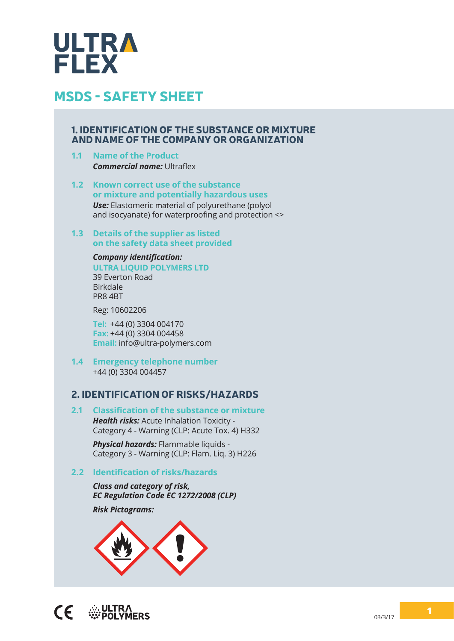

#### 1. IDENTIFICATION OF THE SUBSTANCE OR MIXTURE AND NAME OF THE COMPANY OR ORGANIZATION

- **1.1 Name of the Product** *Commercial name:* Ultraflex
- **1.2 Known correct use of the substance or mixture and potentially hazardous uses** *Use:* Elastomeric material of polyurethane (polyol and isocyanate) for waterproofing and protection <>
- **1.3 Details of the supplier as listed on the safety data sheet provided**

*Company identification:* **ULTRA LIQUID POLYMERS LTD** 39 Everton Road Birkdale PR8 4BT

Reg: 10602206

**Tel:**  +44 (0) 3304 004170 **Fax:** +44 (0) 3304 004458 **Email:** info@ultra-polymers.com

**1.4 Emergency telephone number** +44 (0) 3304 004457

#### 2. IDENTIFICATION OF RISKS/HAZARDS

**2.1 Classification of the substance or mixture** *Health risks:* Acute Inhalation Toxicity - Category 4 - Warning (CLP: Acute Tox. 4) H332

> *Physical hazards:* Flammable liquids - Category 3 - Warning (CLP: Flam. Liq. 3) H226

#### **2.2 Identification of risks/hazards**

*Class and category of risk, EC Regulation Code EC 1272/2008 (CLP)*

*Risk Pictograms:*

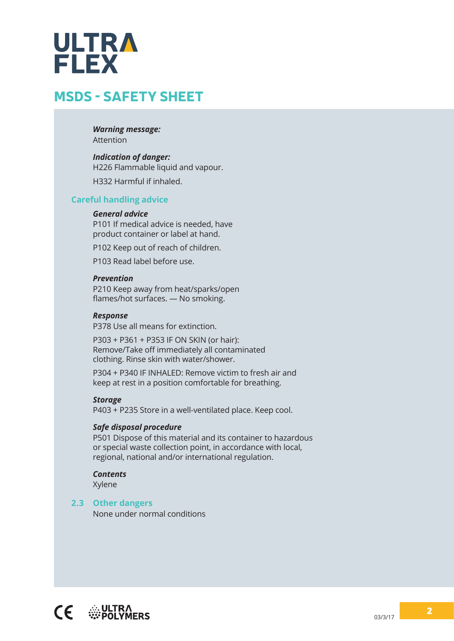# ULTRA **FLEX**

# MSDS - SAFETY SHEET

*Warning message:* Attention

#### *Indication of danger:*

H226 Flammable liquid and vapour.

H332 Harmful if inhaled.

#### **Careful handling advice**

#### *General advice*

P101 If medical advice is needed, have product container or label at hand.

P102 Keep out of reach of children.

P103 Read label before use.

#### *Prevention*

P210 Keep away from heat/sparks/open flames/hot surfaces. — No smoking.

#### *Response*

P378 Use all means for extinction.

P303 + P361 + P353 IF ON SKIN (or hair): Remove/Take off immediately all contaminated clothing. Rinse skin with water/shower.

P304 + P340 IF INHALED: Remove victim to fresh air and keep at rest in a position comfortable for breathing.

#### *Storage*

P403 + P235 Store in a well-ventilated place. Keep cool.

#### *Safe disposal procedure*

P501 Dispose of this material and its container to hazardous or special waste collection point, in accordance with local, regional, national and/or international regulation.

#### *Contents*

Xylene

#### **2.3 Other dangers**

None under normal conditions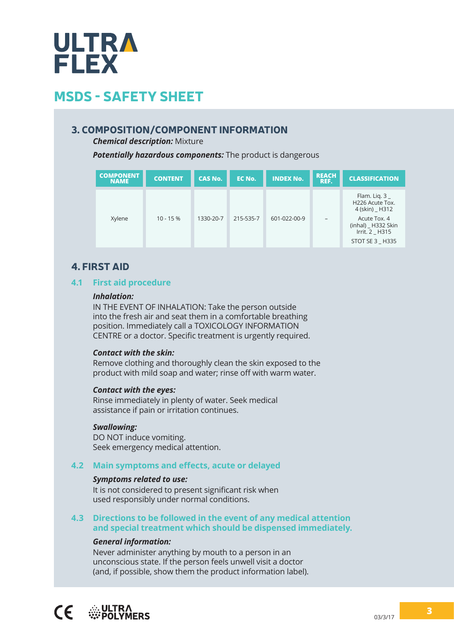

#### 3. COMPOSITION/COMPONENT INFORMATION

*Chemical description:* Mixture

*Potentially hazardous components:* The product is dangerous

| <b>COMPONENT</b><br><b>NAME</b> | <b>CONTENT</b> | <b>CAS No.</b> | EC No.    | <b>INDEX No.</b> | <b>REACH</b><br>REF. | <b>CLASSIFICATION</b>                                                                                                          |
|---------------------------------|----------------|----------------|-----------|------------------|----------------------|--------------------------------------------------------------------------------------------------------------------------------|
| Xylene                          | $10 - 15%$     | 1330-20-7      | 215-535-7 | 601-022-00-9     |                      | Flam. Lig. $3_{-}$<br>H226 Acute Tox.<br>4 (skin) H312<br>Acute Tox. 4<br>(inhal) H332 Skin<br>Irrit. 2 H315<br>STOT SE 3 H335 |

#### 4. FIRST AID

#### **4.1 First aid procedure**

#### *Inhalation:*

IN THE EVENT OF INHALATION: Take the person outside into the fresh air and seat them in a comfortable breathing position. Immediately call a TOXICOLOGY INFORMATION CENTRE or a doctor. Specific treatment is urgently required.

#### *Contact with the skin:*

Remove clothing and thoroughly clean the skin exposed to the product with mild soap and water; rinse off with warm water.

#### *Contact with the eyes:*

Rinse immediately in plenty of water. Seek medical assistance if pain or irritation continues.

#### *Swallowing:*

DO NOT induce vomiting. Seek emergency medical attention.

#### **4.2 Main symptoms and effects, acute or delayed**

#### *Symptoms related to use:*

It is not considered to present significant risk when used responsibly under normal conditions.

#### **4.3 Directions to be followed in the event of any medical attention and special treatment which should be dispensed immediately.**

#### *General information:*

Never administer anything by mouth to a person in an unconscious state. If the person feels unwell visit a doctor (and, if possible, show them the product information label).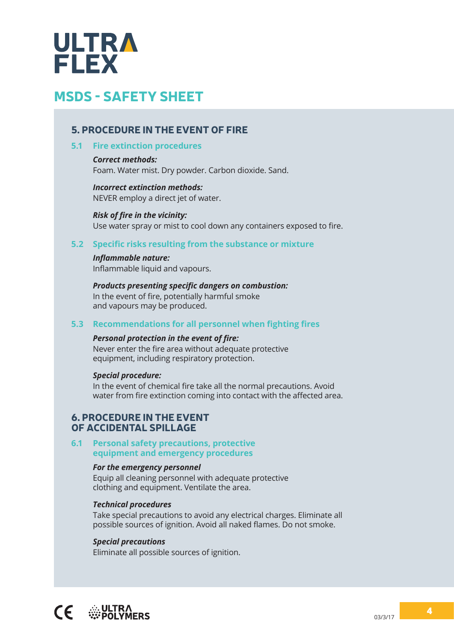

#### 5. PROCEDURE IN THE EVENT OF FIRE

#### **5.1 Fire extinction procedures**

*Correct methods:* Foam. Water mist. Dry powder. Carbon dioxide. Sand.

#### *Incorrect extinction methods:* NEVER employ a direct jet of water.

*Risk of fire in the vicinity:* Use water spray or mist to cool down any containers exposed to fire.

#### **5.2 Specific risks resulting from the substance or mixture**

#### *Inflammable nature:*

Inflammable liquid and vapours.

#### *Products presenting specific dangers on combustion:*

In the event of fire, potentially harmful smoke and vapours may be produced.

#### **5.3 Recommendations for all personnel when fighting fires**

#### *Personal protection in the event of fire:*

Never enter the fire area without adequate protective equipment, including respiratory protection.

#### *Special procedure:*

In the event of chemical fire take all the normal precautions. Avoid water from fire extinction coming into contact with the affected area.

#### 6. PROCEDURE IN THE EVENT OF ACCIDENTAL SPILLAGE

#### **6.1 Personal safety precautions, protective equipment and emergency procedures**

#### *For the emergency personnel*

Equip all cleaning personnel with adequate protective clothing and equipment. Ventilate the area.

#### *Technical procedures*

Take special precautions to avoid any electrical charges. Eliminate all possible sources of ignition. Avoid all naked flames. Do not smoke.

#### *Special precautions*

Eliminate all possible sources of ignition.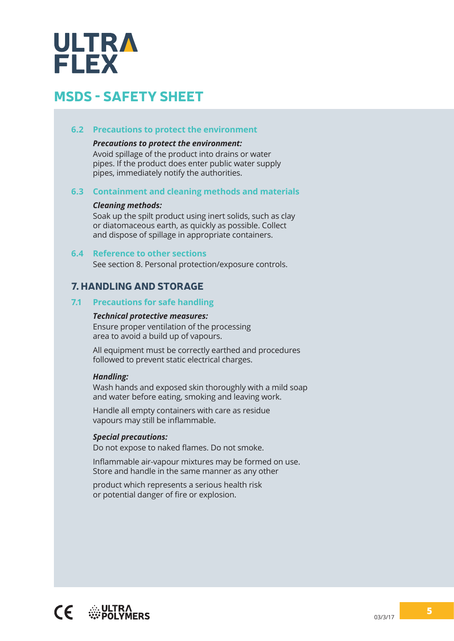# ULTRA **FLEX**

# MSDS - SAFETY SHEET

#### **6.2 Precautions to protect the environment**

#### *Precautions to protect the environment:*

Avoid spillage of the product into drains or water pipes. If the product does enter public water supply pipes, immediately notify the authorities.

#### **6.3 Containment and cleaning methods and materials**

#### *Cleaning methods:*

Soak up the spilt product using inert solids, such as clay or diatomaceous earth, as quickly as possible. Collect and dispose of spillage in appropriate containers.

#### **6.4 Reference to other sections**

See section 8. Personal protection/exposure controls.

#### 7. HANDLING AND STORAGE

#### **7.1 Precautions for safe handling**

#### *Technical protective measures:*

Ensure proper ventilation of the processing area to avoid a build up of vapours.

All equipment must be correctly earthed and procedures followed to prevent static electrical charges.

#### *Handling:*

Wash hands and exposed skin thoroughly with a mild soap and water before eating, smoking and leaving work.

Handle all empty containers with care as residue vapours may still be inflammable.

#### *Special precautions:*

Do not expose to naked flames. Do not smoke.

Inflammable air-vapour mixtures may be formed on use. Store and handle in the same manner as any other

product which represents a serious health risk or potential danger of fire or explosion.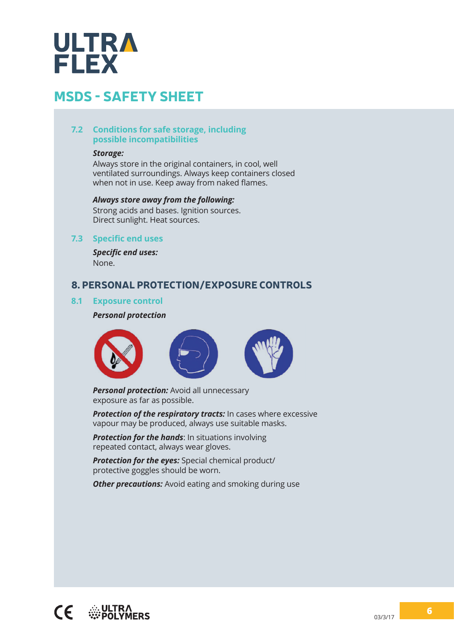# **ULTRA FLEX**

# MSDS - SAFETY SHEET

#### **7.2 Conditions for safe storage, including possible incompatibilities**

#### *Storage:*

Always store in the original containers, in cool, well ventilated surroundings. Always keep containers closed when not in use. Keep away from naked flames.

#### *Always store away from the following:*

Strong acids and bases. Ignition sources. Direct sunlight. Heat sources.

#### **7.3 Specific end uses**

*Specific end uses:* None.

#### 8. PERSONAL PROTECTION/EXPOSURE CONTROLS

#### **8.1 Exposure control**

#### *Personal protection*



*Personal protection:* Avoid all unnecessary exposure as far as possible.

*Protection of the respiratory tracts:* In cases where excessive vapour may be produced, always use suitable masks.

**Protection for the hands:** In situations involving repeated contact, always wear gloves.

*Protection for the eyes:* Special chemical product/ protective goggles should be worn.

*Other precautions:* Avoid eating and smoking during use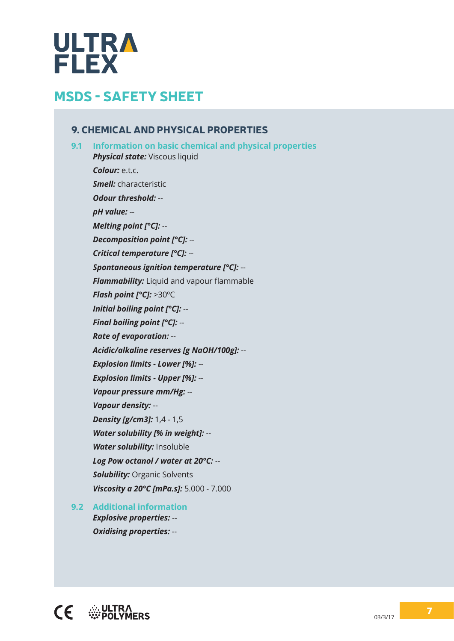# **ULTRA**<br>FLEX

# MSDS - SAFETY SHEET

#### 9. CHEMICAL AND PHYSICAL PROPERTIES

**9.1 Information on basic chemical and physical properties Physical state:** Viscous liquid *Colour:* e.t.c. *Smell:* characteristic *Odour threshold:* - *pH value:* -- *Melting point [°C]:* -- *Decomposition point [°C]:* -- *Critical temperature [°C]:* -- *Spontaneous ignition temperature [°C]:* -- *Flammability:* Liquid and vapour flammable *Flash point [°C]:* >30ºC *Initial boiling point [°C]:* -- *Final boiling point [°C]:* -- *Rate of evaporation:* -- *Acidic/alkaline reserves [g NaOH/100g]:* -- *Explosion limits - Lower [%]:* -- *Explosion limits - Upper [%]:* -- *Vapour pressure mm/Hg:* -- *Vapour density:* -- *Density [g/cm3]:* 1,4 - 1,5 *Water solubility [% in weight]:* -- *Water solubility:* Insoluble *Log Pow octanol / water at 20°C:* -- **Solubility:** Organic Solvents *Viscosity a 20°C [mPa.s]:* 5.000 - 7.000

**9.2 Additional information** *Explosive properties:* -- *Oxidising properties:* --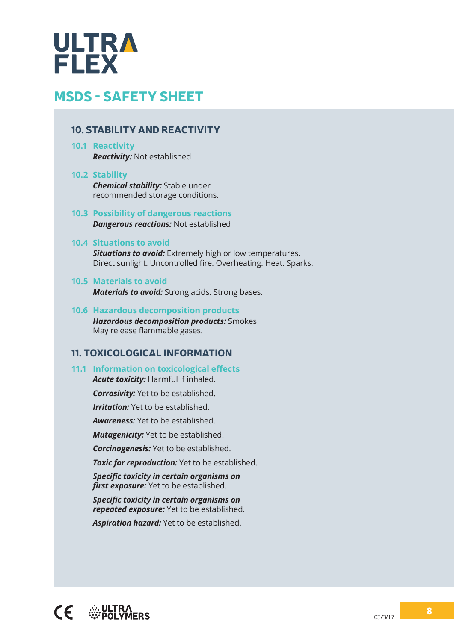

#### 10. STABILITY AND REACTIVITY

**10.1 Reactivity** *Reactivity:* Not established

#### **10.2 Stability**

*Chemical stability:* Stable under recommended storage conditions.

#### **10.3 Possibility of dangerous reactions** *Dangerous reactions:* Not established

#### **10.4 Situations to avoid**

*Situations to avoid:* Extremely high or low temperatures. Direct sunlight. Uncontrolled fire. Overheating. Heat. Sparks.

#### **10.5 Materials to avoid**

*Materials to avoid:* Strong acids. Strong bases.

#### **10.6 Hazardous decomposition products** *Hazardous decomposition products:* Smokes May release flammable gases.

#### 11. TOXICOLOGICAL INFORMATION

#### **11.1 Information on toxicological effects** *Acute toxicity:* Harmful if inhaled.

*Corrosivity:* Yet to be established.

*Irritation:* Yet to be established.

*Awareness:* Yet to be established.

*Mutagenicity:* Yet to be established.

*Carcinogenesis:* Yet to be established.

*Toxic for reproduction:* Yet to be established.

*Specific toxicity in certain organisms on first exposure:* Yet to be established.

*Specific toxicity in certain organisms on repeated exposure:* Yet to be established.

*Aspiration hazard:* Yet to be established.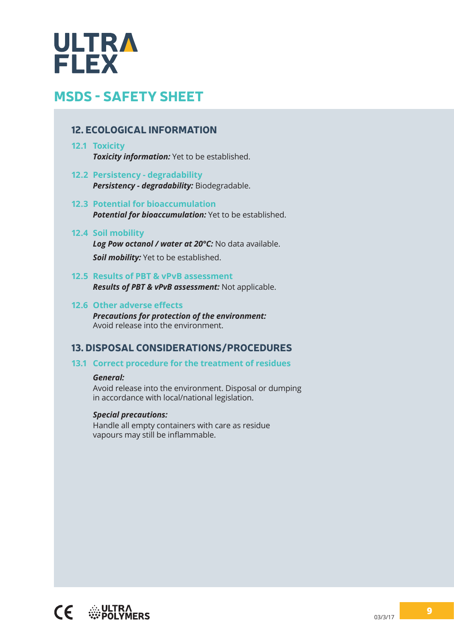# **ULTRA**<br>FLEX

# MSDS - SAFETY SHEET

#### 12. ECOLOGICAL INFORMATION

#### **12.1 Toxicity** *Toxicity information:* Yet to be established.

- **12.2 Persistency - degradability** *Persistency - degradability:* Biodegradable.
- **12.3 Potential for bioaccumulation** *Potential for bioaccumulation:* Yet to be established.

#### **12.4 Soil mobility**

*Log Pow octanol / water at 20°C:* No data available. *Soil mobility:* Yet to be established.

- **12.5 Results of PBT & vPvB assessment** *Results of PBT & vPvB assessment:* Not applicable.
- **12.6 Other adverse effects** *Precautions for protection of the environment:*  Avoid release into the environment.

#### 13. DISPOSAL CONSIDERATIONS/PROCEDURES

#### **13.1 Correct procedure for the treatment of residues**

#### *General:*

Avoid release into the environment. Disposal or dumping in accordance with local/national legislation.

#### *Special precautions:*

Handle all empty containers with care as residue vapours may still be inflammable.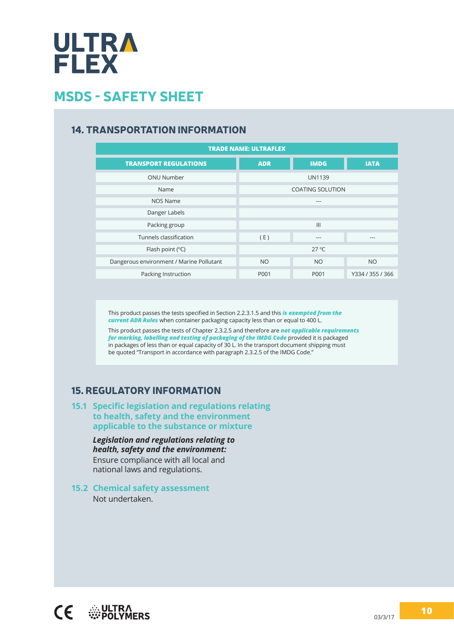

#### 14. TRANSPORTATION INFORMATION

| <b>TRADE NAME: ULTRAFLEX</b>             |            |                         |                  |  |  |  |  |
|------------------------------------------|------------|-------------------------|------------------|--|--|--|--|
| <b>TRANSPORT REGULATIONS</b>             | <b>ADR</b> | <b>IMDG</b>             | <b>IATA</b>      |  |  |  |  |
| <b>ONU Number</b>                        |            | <b>UN1139</b>           |                  |  |  |  |  |
| Name                                     |            | <b>COATING SOLUTION</b> |                  |  |  |  |  |
| <b>NOS Name</b>                          |            | ---                     |                  |  |  |  |  |
| Danger Labels                            |            |                         |                  |  |  |  |  |
| Packing group                            |            | III                     |                  |  |  |  |  |
| Tunnels classification                   | (E)        | ---                     | ---              |  |  |  |  |
| Flash point $(^{\circ}C)$                |            | $27^{\circ}$ C          |                  |  |  |  |  |
| Dangerous environment / Marine Pollutant | <b>NO</b>  | <b>NO</b>               | <b>NO</b>        |  |  |  |  |
| Packing Instruction                      | P001       | P001                    | Y334 / 355 / 366 |  |  |  |  |

This product passes the tests specified in Section 2.2.3.1.5 and this *is exempted from the current ADR Rules* when container packaging capacity less than or equal to 400 L.

This product passes the tests of Chapter 2.3.2.5 and therefore are *not applicable requirements for marking, labelling and testing of packaging of the IMDG Code* provided it is packaged in packages of less than or equal capacity of 30 L. In the transport document shipping must be quoted "Transport in accordance with paragraph 2.3.2.5 of the IMDG Code."

#### 15. REGULATORY INFORMATION

#### **15.1 Specific legislation and regulations relating to health, safety and the environment applicable to the substance or mixture**

*Legislation and regulations relating to health, safety and the environment:* Ensure compliance with all local and national laws and regulations.

#### **15.2 Chemical safety assessment**

Not undertaken.